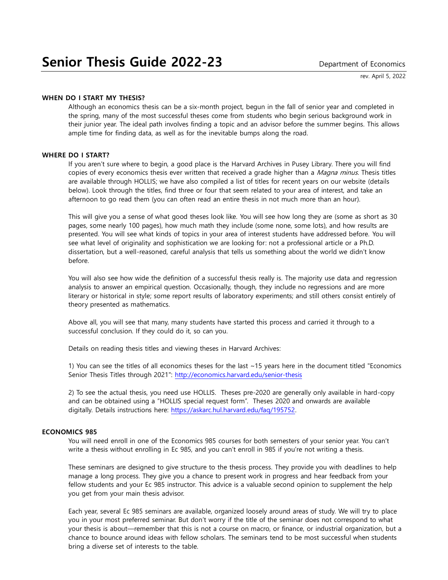rev. April 5, 2022

# **WHEN DO I START MY THESIS?**

Although an economics thesis can be a six-month project, begun in the fall of senior year and completed in the spring, many of the most successful theses come from students who begin serious background work in their junior year. The ideal path involves finding a topic and an advisor before the summer begins. This allows ample time for finding data, as well as for the inevitable bumps along the road.

# **WHERE DO I START?**

If you aren't sure where to begin, a good place is the Harvard Archives in Pusey Library. There you will find copies of every economics thesis ever written that received a grade higher than a Magna minus. Thesis titles are available through HOLLIS; we have also compiled a list of titles for recent years on our website (details below). Look through the titles, find three or four that seem related to your area of interest, and take an afternoon to go read them (you can often read an entire thesis in not much more than an hour).

This will give you a sense of what good theses look like. You will see how long they are (some as short as 30 pages, some nearly 100 pages), how much math they include (some none, some lots), and how results are presented. You will see what kinds of topics in your area of interest students have addressed before. You will see what level of originality and sophistication we are looking for: not a professional article or a Ph.D. dissertation, but a well-reasoned, careful analysis that tells us something about the world we didn't know before.

You will also see how wide the definition of a successful thesis really is. The majority use data and regression analysis to answer an empirical question. Occasionally, though, they include no regressions and are more literary or historical in style; some report results of laboratory experiments; and still others consist entirely of theory presented as mathematics.

Above all, you will see that many, many students have started this process and carried it through to a successful conclusion. If they could do it, so can you.

Details on reading thesis titles and viewing theses in Harvard Archives:

1) You can see the titles of all economics theses for the last ~15 years here in the document titled "Economics Senior Thesis Titles through 2021": <http://economics.harvard.edu/senior-thesis>

2) To see the actual thesis, you need use HOLLIS. Theses pre-2020 are generally only available in hard-copy and can be obtained using a "HOLLIS special request form". Theses 2020 and onwards are available digitally. Details instructions here: [https://askarc.hul.harvard.edu/faq/195752.](https://askarc.hul.harvard.edu/faq/195752)

#### **ECONOMICS 985**

You will need enroll in one of the Economics 985 courses for both semesters of your senior year. You can't write a thesis without enrolling in Ec 985, and you can't enroll in 985 if you're not writing a thesis.

These seminars are designed to give structure to the thesis process. They provide you with deadlines to help manage a long process. They give you a chance to present work in progress and hear feedback from your fellow students and your Ec 985 instructor. This advice is a valuable second opinion to supplement the help you get from your main thesis advisor.

Each year, several Ec 985 seminars are available, organized loosely around areas of study. We will try to place you in your most preferred seminar. But don't worry if the title of the seminar does not correspond to what your thesis is about—remember that this is not a course on macro, or finance, or industrial organization, but a chance to bounce around ideas with fellow scholars. The seminars tend to be most successful when students bring a diverse set of interests to the table.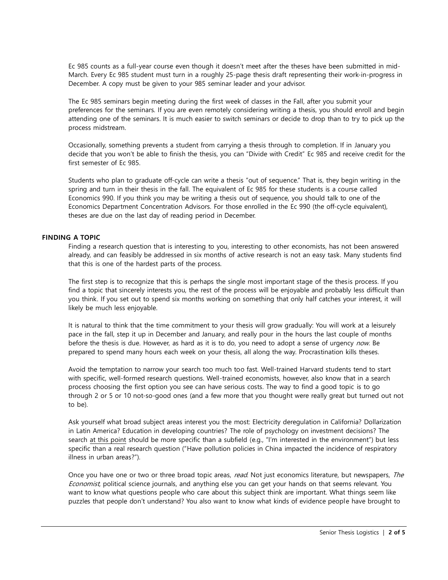Ec 985 counts as a full-year course even though it doesn't meet after the theses have been submitted in mid-March. Every Ec 985 student must turn in a roughly 25-page thesis draft representing their work-in-progress in December. A copy must be given to your 985 seminar leader and your advisor.

The Ec 985 seminars begin meeting during the first week of classes in the Fall, after you submit your preferences for the seminars. If you are even remotely considering writing a thesis, you should enroll and begin attending one of the seminars. It is much easier to switch seminars or decide to drop than to try to pick up the process midstream.

Occasionally, something prevents a student from carrying a thesis through to completion. If in January you decide that you won't be able to finish the thesis, you can "Divide with Credit" Ec 985 and receive credit for the first semester of Ec 985.

Students who plan to graduate off-cycle can write a thesis "out of sequence." That is, they begin writing in the spring and turn in their thesis in the fall. The equivalent of Ec 985 for these students is a course called Economics 990. If you think you may be writing a thesis out of sequence, you should talk to one of the Economics Department Concentration Advisors. For those enrolled in the Ec 990 (the off-cycle equivalent), theses are due on the last day of reading period in December.

# **FINDING A TOPIC**

Finding a research question that is interesting to you, interesting to other economists, has not been answered already, and can feasibly be addressed in six months of active research is not an easy task. Many students find that this is one of the hardest parts of the process.

The first step is to recognize that this is perhaps the single most important stage of the thesis process. If you find a topic that sincerely interests you, the rest of the process will be enjoyable and probably less difficult than you think. If you set out to spend six months working on something that only half catches your interest, it will likely be much less enjoyable.

It is natural to think that the time commitment to your thesis will grow gradually: You will work at a leisurely pace in the fall, step it up in December and January, and really pour in the hours the last couple of months before the thesis is due. However, as hard as it is to do, you need to adopt a sense of urgency now. Be prepared to spend many hours each week on your thesis, all along the way. Procrastination kills theses.

Avoid the temptation to narrow your search too much too fast. Well-trained Harvard students tend to start with specific, well-formed research questions. Well-trained economists, however, also know that in a search process choosing the first option you see can have serious costs. The way to find a good topic is to go through 2 or 5 or 10 not-so-good ones (and a few more that you thought were really great but turned out not to be).

Ask yourself what broad subject areas interest you the most: Electricity deregulation in California? Dollarization in Latin America? Education in developing countries? The role of psychology on investment decisions? The search at this point should be more specific than a subfield (e.g., "I'm interested in the environment") but less specific than a real research question ("Have pollution policies in China impacted the incidence of respiratory illness in urban areas?").

Once you have one or two or three broad topic areas, read. Not just economics literature, but newspapers, The Economist, political science journals, and anything else you can get your hands on that seems relevant. You want to know what questions people who care about this subject think are important. What things seem like puzzles that people don't understand? You also want to know what kinds of evidence people have brought to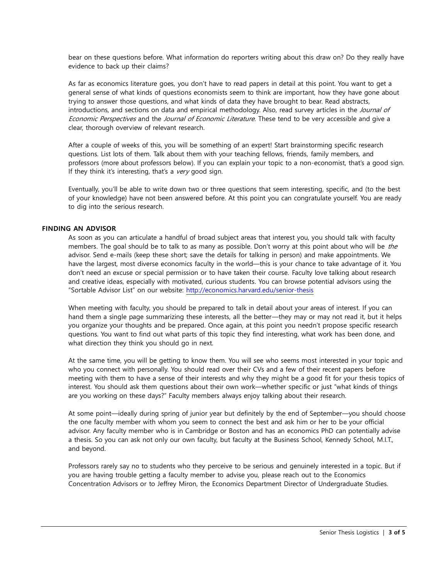bear on these questions before. What information do reporters writing about this draw on? Do they really have evidence to back up their claims?

As far as economics literature goes, you don't have to read papers in detail at this point. You want to get a general sense of what kinds of questions economists seem to think are important, how they have gone about trying to answer those questions, and what kinds of data they have brought to bear. Read abstracts, introductions, and sections on data and empirical methodology. Also, read survey articles in the *Journal of* Economic Perspectives and the Journal of Economic Literature. These tend to be very accessible and give a clear, thorough overview of relevant research.

After a couple of weeks of this, you will be something of an expert! Start brainstorming specific research questions. List lots of them. Talk about them with your teaching fellows, friends, family members, and professors (more about professors below). If you can explain your topic to a non-economist, that's a good sign. If they think it's interesting, that's a  $very$  good sign.

Eventually, you'll be able to write down two or three questions that seem interesting, specific, and (to the best of your knowledge) have not been answered before. At this point you can congratulate yourself. You are ready to dig into the serious research.

# **FINDING AN ADVISOR**

As soon as you can articulate a handful of broad subject areas that interest you, you should talk with faculty members. The goal should be to talk to as many as possible. Don't worry at this point about who will be the advisor. Send e-mails (keep these short; save the details for talking in person) and make appointments. We have the largest, most diverse economics faculty in the world—this is your chance to take advantage of it. You don't need an excuse or special permission or to have taken their course. Faculty love talking about research and creative ideas, especially with motivated, curious students. You can browse potential advisors using the "Sortable Advisor List" on our website: <http://economics.harvard.edu/senior-thesis>

When meeting with faculty, you should be prepared to talk in detail about your areas of interest. If you can hand them a single page summarizing these interests, all the better—they may or may not read it, but it helps you organize your thoughts and be prepared. Once again, at this point you needn't propose specific research questions. You want to find out what parts of this topic they find interesting, what work has been done, and what direction they think you should go in next.

At the same time, you will be getting to know them. You will see who seems most interested in your topic and who you connect with personally. You should read over their CVs and a few of their recent papers before meeting with them to have a sense of their interests and why they might be a good fit for your thesis topics of interest. You should ask them questions about their own work—whether specific or just "what kinds of things are you working on these days?" Faculty members always enjoy talking about their research.

At some point—ideally during spring of junior year but definitely by the end of September—you should choose the one faculty member with whom you seem to connect the best and ask him or her to be your official advisor. Any faculty member who is in Cambridge or Boston and has an economics PhD can potentially advise a thesis. So you can ask not only our own faculty, but faculty at the Business School, Kennedy School, M.I.T., and beyond.

Professors rarely say no to students who they perceive to be serious and genuinely interested in a topic. But if you are having trouble getting a faculty member to advise you, please reach out to the Economics Concentration Advisors or to Jeffrey Miron, the Economics Department Director of Undergraduate Studies.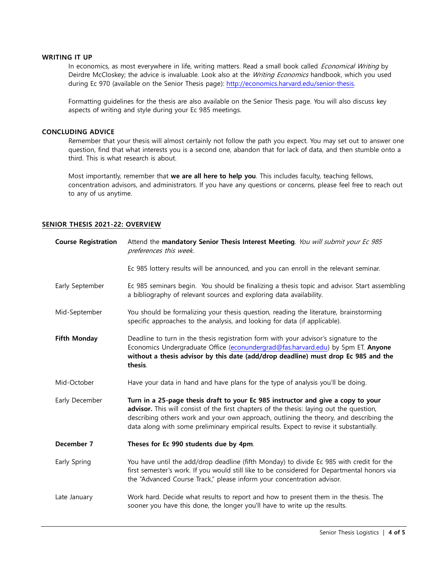# **WRITING IT UP**

In economics, as most everywhere in life, writing matters. Read a small book called Economical Writing by Deirdre McCloskey; the advice is invaluable. Look also at the Writing Economics handbook, which you used during Ec 970 (available on the Senior Thesis page): [http://economics.harvard.edu/senior-thesis.](http://economics.harvard.edu/senior-thesis)

Formatting guidelines for the thesis are also available on the Senior Thesis page. You will also discuss key aspects of writing and style during your Ec 985 meetings.

#### **CONCLUDING ADVICE**

Remember that your thesis will almost certainly not follow the path you expect. You may set out to answer one question, find that what interests you is a second one, abandon that for lack of data, and then stumble onto a third. This is what research is about.

Most importantly, remember that **we are all here to help you**. This includes faculty, teaching fellows, concentration advisors, and administrators. If you have any questions or concerns, please feel free to reach out to any of us anytime.

#### **SENIOR THESIS 2021-22: OVERVIEW**

| <b>Course Registration</b> | Attend the mandatory Senior Thesis Interest Meeting. You will submit your Ec 985<br>preferences this week.                                                                                                                                                                                                                                                       |
|----------------------------|------------------------------------------------------------------------------------------------------------------------------------------------------------------------------------------------------------------------------------------------------------------------------------------------------------------------------------------------------------------|
|                            | Ec 985 lottery results will be announced, and you can enroll in the relevant seminar.                                                                                                                                                                                                                                                                            |
| Early September            | Ec 985 seminars begin. You should be finalizing a thesis topic and advisor. Start assembling<br>a bibliography of relevant sources and exploring data availability.                                                                                                                                                                                              |
| Mid-September              | You should be formalizing your thesis question, reading the literature, brainstorming<br>specific approaches to the analysis, and looking for data (if applicable).                                                                                                                                                                                              |
| <b>Fifth Monday</b>        | Deadline to turn in the thesis registration form with your advisor's signature to the<br>Economics Undergraduate Office (econundergrad@fas.harvard.edu) by 5pm ET. Anyone<br>without a thesis advisor by this date (add/drop deadline) must drop Ec 985 and the<br>thesis.                                                                                       |
| Mid-October                | Have your data in hand and have plans for the type of analysis you'll be doing.                                                                                                                                                                                                                                                                                  |
| Early December             | Turn in a 25-page thesis draft to your Ec 985 instructor and give a copy to your<br>advisor. This will consist of the first chapters of the thesis: laying out the question,<br>describing others work and your own approach, outlining the theory, and describing the<br>data along with some preliminary empirical results. Expect to revise it substantially. |
| December 7                 | Theses for Ec 990 students due by 4pm.                                                                                                                                                                                                                                                                                                                           |
| Early Spring               | You have until the add/drop deadline (fifth Monday) to divide Ec 985 with credit for the<br>first semester's work. If you would still like to be considered for Departmental honors via<br>the "Advanced Course Track," please inform your concentration advisor.                                                                                                |
| Late January               | Work hard. Decide what results to report and how to present them in the thesis. The<br>sooner you have this done, the longer you'll have to write up the results.                                                                                                                                                                                                |